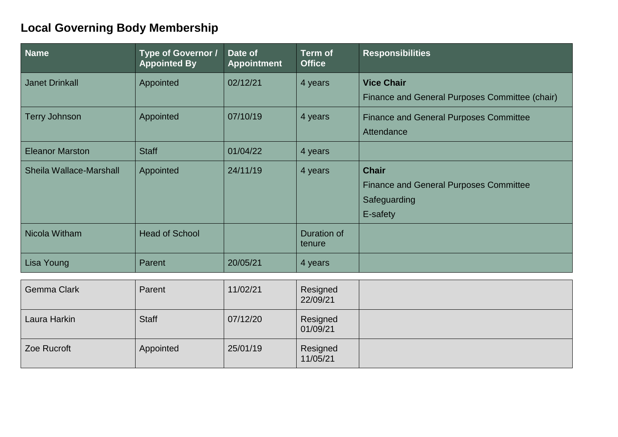## **Local Governing Body Membership**

| <b>Name</b>                    | Type of Governor /<br><b>Appointed By</b> | Date of<br><b>Appointment</b> | <b>Term of</b><br><b>Office</b> | <b>Responsibilities</b>                                                                   |
|--------------------------------|-------------------------------------------|-------------------------------|---------------------------------|-------------------------------------------------------------------------------------------|
| <b>Janet Drinkall</b>          | Appointed                                 | 02/12/21                      | 4 years                         | <b>Vice Chair</b><br>Finance and General Purposes Committee (chair)                       |
| <b>Terry Johnson</b>           | Appointed                                 | 07/10/19                      | 4 years                         | <b>Finance and General Purposes Committee</b><br>Attendance                               |
| <b>Eleanor Marston</b>         | <b>Staff</b>                              | 01/04/22                      | 4 years                         |                                                                                           |
| <b>Sheila Wallace-Marshall</b> | Appointed                                 | 24/11/19                      | 4 years                         | <b>Chair</b><br><b>Finance and General Purposes Committee</b><br>Safeguarding<br>E-safety |
| Nicola Witham                  | <b>Head of School</b>                     |                               | <b>Duration of</b><br>tenure    |                                                                                           |
| Lisa Young                     | Parent                                    | 20/05/21                      | 4 years                         |                                                                                           |
| <b>Gemma Clark</b>             | Parent                                    | 11/02/21                      | Resigned<br>22/09/21            |                                                                                           |
| Laura Harkin                   | <b>Staff</b>                              | 07/12/20                      | Resigned<br>01/09/21            |                                                                                           |
| Zoe Rucroft                    | Appointed                                 | 25/01/19                      | Resigned<br>11/05/21            |                                                                                           |